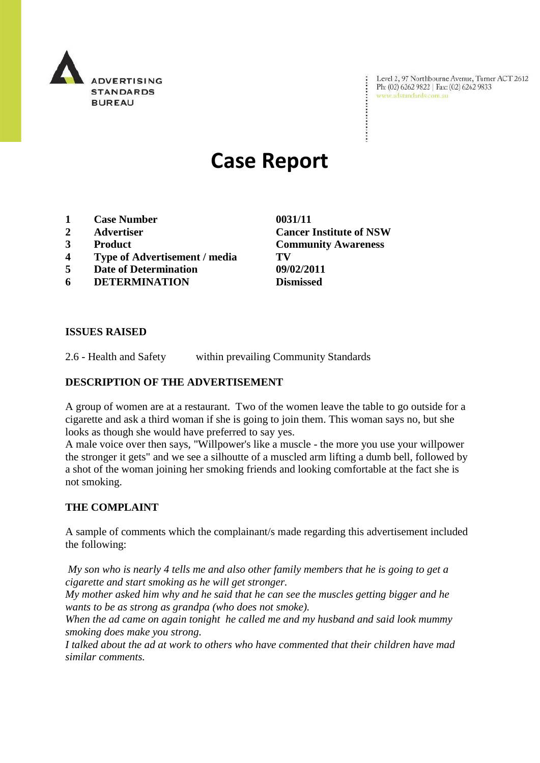

Level 2, 97 Northbourne Avenue, Turner ACT 2612 Level 2, 97 Northbourne Avenue, Turne<br>Ph: (02) 6262 9822 | Fax: (02) 6262 9833 www.adstandards.com.au

# **Case Report**

- **1 Case Number 0031/11**
- 
- 
- **4 Type of Advertisement / media TV**
- **5 Date of Determination 09/02/2011**
- **6 DETERMINATION Dismissed**

**2 Advertiser Cancer Institute of NSW 3 Product Community Awareness**

## **ISSUES RAISED**

2.6 - Health and Safety within prevailing Community Standards

## **DESCRIPTION OF THE ADVERTISEMENT**

A group of women are at a restaurant. Two of the women leave the table to go outside for a cigarette and ask a third woman if she is going to join them. This woman says no, but she looks as though she would have preferred to say yes.

A male voice over then says, "Willpower's like a muscle - the more you use your willpower the stronger it gets" and we see a silhoutte of a muscled arm lifting a dumb bell, followed by a shot of the woman joining her smoking friends and looking comfortable at the fact she is not smoking.

## **THE COMPLAINT**

A sample of comments which the complainant/s made regarding this advertisement included the following:

*My son who is nearly 4 tells me and also other family members that he is going to get a cigarette and start smoking as he will get stronger.* 

*My mother asked him why and he said that he can see the muscles getting bigger and he wants to be as strong as grandpa (who does not smoke).*

*When the ad came on again tonight he called me and my husband and said look mummy smoking does make you strong.* 

*I talked about the ad at work to others who have commented that their children have mad similar comments.*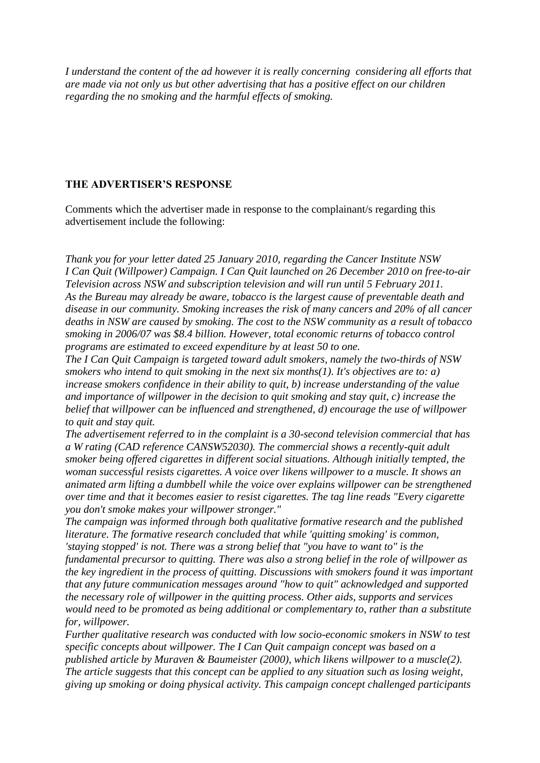*I understand the content of the ad however it is really concerning considering all efforts that are made via not only us but other advertising that has a positive effect on our children regarding the no smoking and the harmful effects of smoking.*

## **THE ADVERTISER'S RESPONSE**

Comments which the advertiser made in response to the complainant/s regarding this advertisement include the following:

*Thank you for your letter dated 25 January 2010, regarding the Cancer Institute NSW I Can Quit (Willpower) Campaign. I Can Quit launched on 26 December 2010 on free-to-air Television across NSW and subscription television and will run until 5 February 2011. As the Bureau may already be aware, tobacco is the largest cause of preventable death and disease in our community. Smoking increases the risk of many cancers and 20% of all cancer deaths in NSW are caused by smoking. The cost to the NSW community as a result of tobacco smoking in 2006/07 was \$8.4 billion. However, total economic returns of tobacco control programs are estimated to exceed expenditure by at least 50 to one.*

*The I Can Quit Campaign is targeted toward adult smokers, namely the two-thirds of NSW smokers who intend to quit smoking in the next six months(1). It's objectives are to: a) increase smokers confidence in their ability to quit, b) increase understanding of the value and importance of willpower in the decision to quit smoking and stay quit, c) increase the belief that willpower can be influenced and strengthened, d) encourage the use of willpower to quit and stay quit.*

*The advertisement referred to in the complaint is a 30-second television commercial that has a W rating (CAD reference CANSW52030). The commercial shows a recently-quit adult smoker being offered cigarettes in different social situations. Although initially tempted, the woman successful resists cigarettes. A voice over likens willpower to a muscle. It shows an animated arm lifting a dumbbell while the voice over explains willpower can be strengthened over time and that it becomes easier to resist cigarettes. The tag line reads "Every cigarette you don't smoke makes your willpower stronger."*

*The campaign was informed through both qualitative formative research and the published literature. The formative research concluded that while 'quitting smoking' is common, 'staying stopped' is not. There was a strong belief that "you have to want to" is the fundamental precursor to quitting. There was also a strong belief in the role of willpower as the key ingredient in the process of quitting. Discussions with smokers found it was important that any future communication messages around "how to quit" acknowledged and supported the necessary role of willpower in the quitting process. Other aids, supports and services would need to be promoted as being additional or complementary to, rather than a substitute for, willpower.*

*Further qualitative research was conducted with low socio-economic smokers in NSW to test specific concepts about willpower. The I Can Quit campaign concept was based on a published article by Muraven & Baumeister (2000), which likens willpower to a muscle(2). The article suggests that this concept can be applied to any situation such as losing weight, giving up smoking or doing physical activity. This campaign concept challenged participants*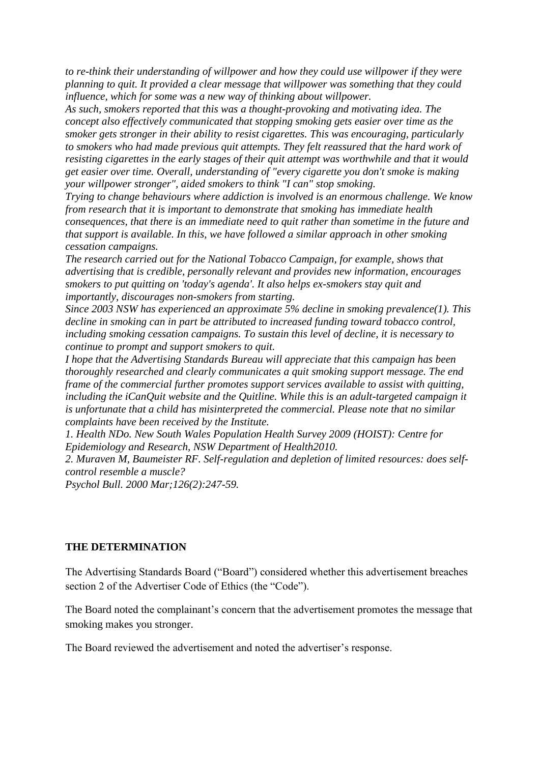*to re-think their understanding of willpower and how they could use willpower if they were planning to quit. It provided a clear message that willpower was something that they could influence, which for some was a new way of thinking about willpower.*

*As such, smokers reported that this was a thought-provoking and motivating idea. The concept also effectively communicated that stopping smoking gets easier over time as the smoker gets stronger in their ability to resist cigarettes. This was encouraging, particularly to smokers who had made previous quit attempts. They felt reassured that the hard work of resisting cigarettes in the early stages of their quit attempt was worthwhile and that it would get easier over time. Overall, understanding of "every cigarette you don't smoke is making your willpower stronger", aided smokers to think "I can" stop smoking.*

*Trying to change behaviours where addiction is involved is an enormous challenge. We know from research that it is important to demonstrate that smoking has immediate health consequences, that there is an immediate need to quit rather than sometime in the future and that support is available. In this, we have followed a similar approach in other smoking cessation campaigns.* 

*The research carried out for the National Tobacco Campaign, for example, shows that advertising that is credible, personally relevant and provides new information, encourages smokers to put quitting on 'today's agenda'. It also helps ex-smokers stay quit and importantly, discourages non-smokers from starting.*

*Since 2003 NSW has experienced an approximate 5% decline in smoking prevalence(1). This decline in smoking can in part be attributed to increased funding toward tobacco control, including smoking cessation campaigns. To sustain this level of decline, it is necessary to continue to prompt and support smokers to quit.*

*I hope that the Advertising Standards Bureau will appreciate that this campaign has been thoroughly researched and clearly communicates a quit smoking support message. The end frame of the commercial further promotes support services available to assist with quitting, including the iCanQuit website and the Quitline. While this is an adult-targeted campaign it is unfortunate that a child has misinterpreted the commercial. Please note that no similar complaints have been received by the Institute.*

*1. Health NDo. New South Wales Population Health Survey 2009 (HOIST): Centre for Epidemiology and Research, NSW Department of Health2010.*

*2. Muraven M, Baumeister RF. Self-regulation and depletion of limited resources: does selfcontrol resemble a muscle?*

*Psychol Bull. 2000 Mar;126(2):247-59.*

## **THE DETERMINATION**

The Advertising Standards Board ("Board") considered whether this advertisement breaches section 2 of the Advertiser Code of Ethics (the "Code").

The Board noted the complainant's concern that the advertisement promotes the message that smoking makes you stronger.

The Board reviewed the advertisement and noted the advertiser's response.